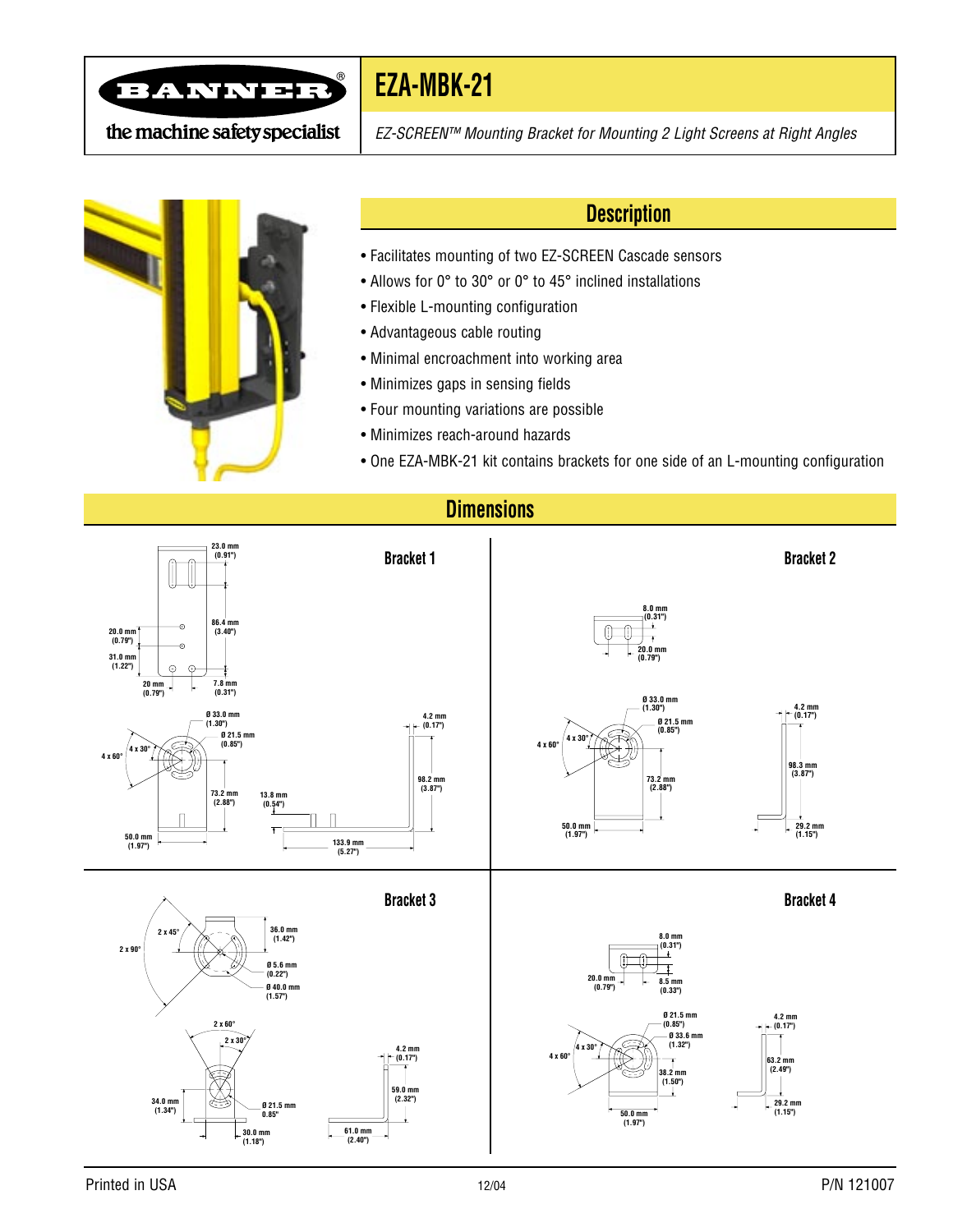

### **EZA-MBK-21**

the machine safety specialist

EZ-SCREEN™ Mounting Bracket for Mounting 2 Light Screens at Right Angles



#### **Description**

- Facilitates mounting of two EZ-SCREEN Cascade sensors
- Allows for 0° to 30° or 0° to 45° inclined installations
- Flexible L-mounting configuration
- Advantageous cable routing
- Minimal encroachment into working area
- Minimizes gaps in sensing fields
- Four mounting variations are possible
- Minimizes reach-around hazards
- One EZA-MBK-21 kit contains brackets for one side of an L-mounting configuration

#### **Dimensions**

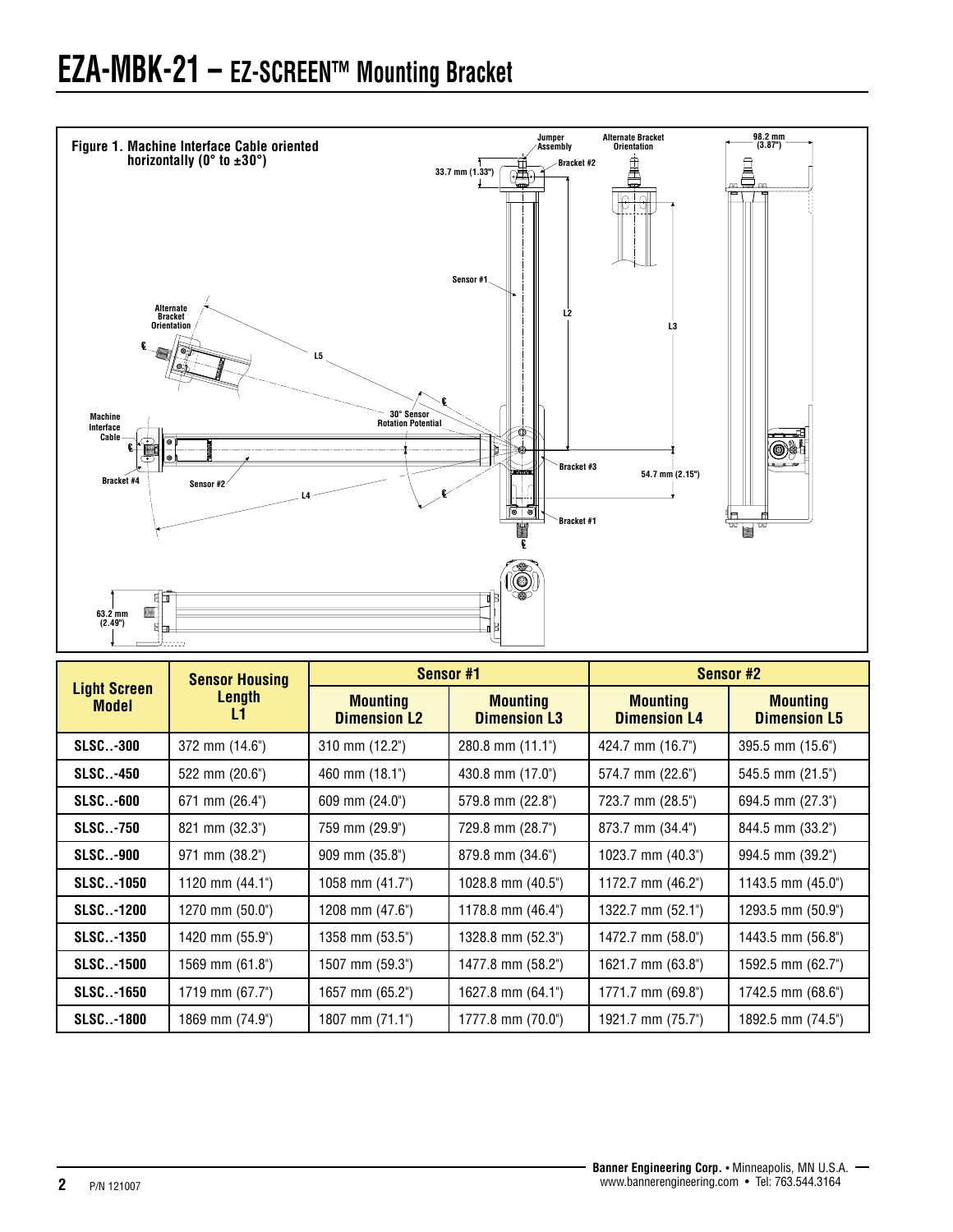# **EZA-MBK-21 – EZ-SCREEN™ Mounting Bracket**



| <b>Light Screen</b><br><b>Model</b> | <b>Sensor Housing</b><br>Length<br>L1 | Sensor #1                              |                                        | Sensor #2                              |                                        |
|-------------------------------------|---------------------------------------|----------------------------------------|----------------------------------------|----------------------------------------|----------------------------------------|
|                                     |                                       | <b>Mounting</b><br><b>Dimension L2</b> | <b>Mounting</b><br><b>Dimension L3</b> | <b>Mounting</b><br><b>Dimension L4</b> | <b>Mounting</b><br><b>Dimension L5</b> |
| <b>SLSC-300</b>                     | 372 mm (14.6")                        | 310 mm (12.2")                         | $280.8$ mm $(11.1^{\circ})$            | 424.7 mm (16.7")                       | $395.5$ mm $(15.6^{\circ})$            |
| <b>SLSC-450</b>                     | 522 mm (20.6")                        | 460 mm (18.1")                         | 430.8 mm (17.0")                       | 574.7 mm (22.6")                       | 545.5 mm (21.5")                       |
| <b>SLSC-600</b>                     | 671 mm (26.4")                        | 609 mm (24.0")                         | 579.8 mm (22.8")                       | 723.7 mm (28.5")                       | 694.5 mm (27.3")                       |
| <b>SLSC-750</b>                     | $821 \text{ mm} (32.3^{\circ})$       | 759 mm (29.9")                         | 729.8 mm (28.7")                       | 873.7 mm (34.4")                       | 844.5 mm (33.2")                       |
| <b>SLSC-900</b>                     | 971 mm (38.2")                        | 909 mm (35.8")                         | $879.8$ mm $(34.6^{\circ})$            | 1023.7 mm (40.3")                      | 994.5 mm (39.2")                       |
| <b>SLSC-1050</b>                    | 1120 mm $(44.1")$                     | 1058 mm $(41.7")$                      | 1028.8 mm $(40.5^{\circ})$             | 1172.7 mm $(46.2^{\circ})$             | 1143.5 mm (45.0")                      |
| <b>SLSC-1200</b>                    | 1270 mm (50.0")                       | 1208 mm (47.6")                        | 1178.8 mm (46.4")                      | 1322.7 mm (52.1")                      | 1293.5 mm (50.9")                      |
| <b>SLSC-1350</b>                    | 1420 mm (55.9")                       | 1358 mm (53.5")                        | 1328.8 mm (52.3")                      | 1472.7 mm (58.0")                      | 1443.5 mm (56.8")                      |
| <b>SLSC-1500</b>                    | 1569 mm (61.8")                       | 1507 mm (59.3")                        | 1477.8 mm (58.2")                      | 1621.7 mm (63.8")                      | 1592.5 mm (62.7")                      |
| <b>SLSC-1650</b>                    | 1719 mm (67.7")                       | 1657 mm (65.2")                        | 1627.8 mm (64.1")                      | 1771.7 mm (69.8")                      | 1742.5 mm (68.6")                      |
| <b>SLSC-1800</b>                    | 1869 mm (74.9")                       | 1807 mm $(71.1")$                      | 1777.8 mm (70.0")                      | 1921.7 mm (75.7")                      | 1892.5 mm (74.5")                      |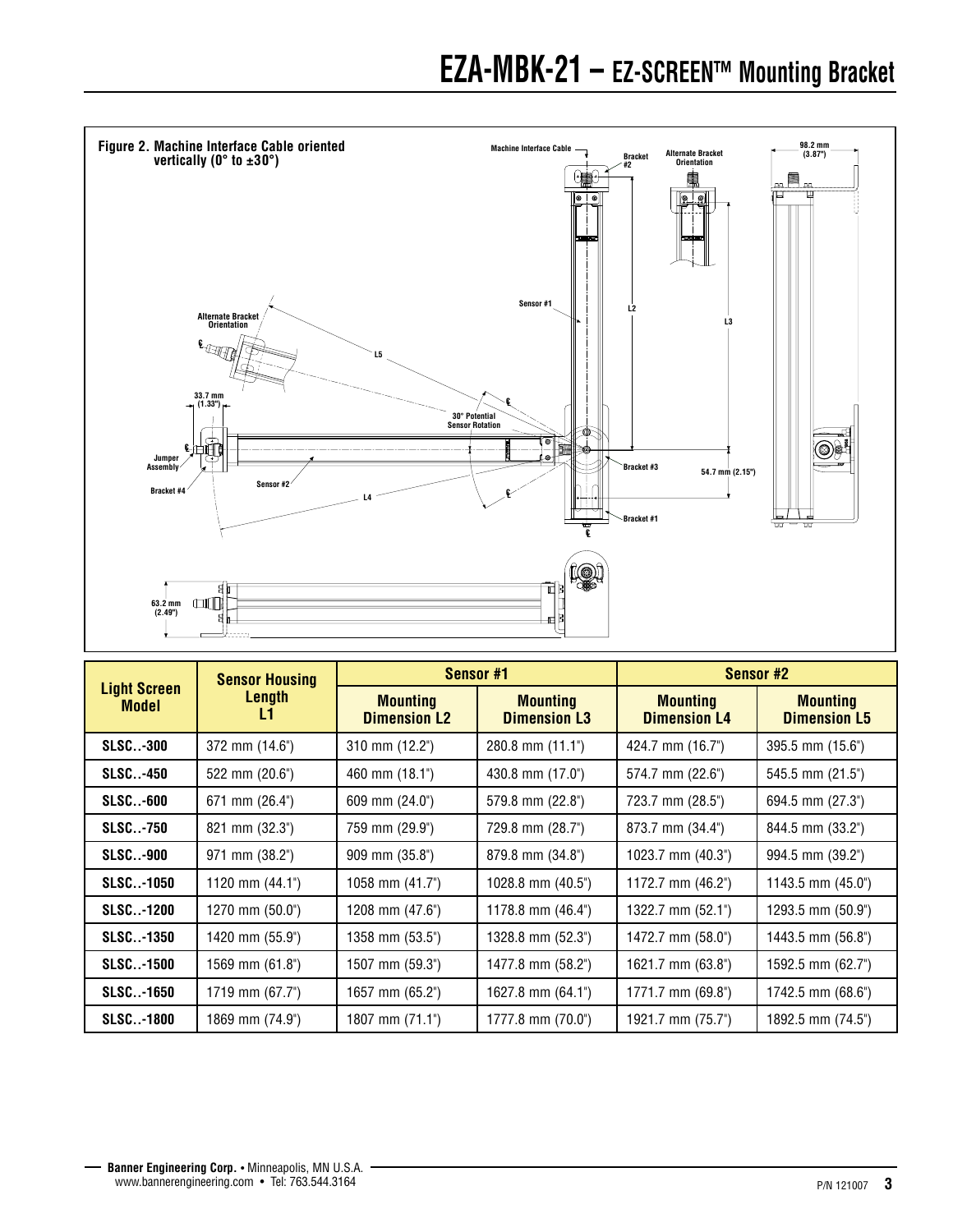### **EZA-MBK-21 – EZ-SCREEN™ Mounting Bracket**



| <b>Light Screen</b><br><b>Model</b> | <b>Sensor Housing</b><br>Length<br>L1 | Sensor #1                              |                                        | Sensor #2                              |                                        |
|-------------------------------------|---------------------------------------|----------------------------------------|----------------------------------------|----------------------------------------|----------------------------------------|
|                                     |                                       | <b>Mounting</b><br><b>Dimension L2</b> | <b>Mounting</b><br><b>Dimension L3</b> | <b>Mounting</b><br><b>Dimension L4</b> | <b>Mounting</b><br><b>Dimension L5</b> |
| <b>SLSC-300</b>                     | 372 mm (14.6")                        | $310 \text{ mm}$ (12.2")               | $280.8$ mm $(11.1^{\circ})$            | 424.7 mm (16.7")                       | 395.5 mm (15.6")                       |
| <b>SLSC-450</b>                     | 522 mm (20.6")                        | 460 mm (18.1")                         | 430.8 mm (17.0")                       | 574.7 mm (22.6")                       | 545.5 mm (21.5")                       |
| <b>SLSC-600</b>                     | 671 mm (26.4")                        | 609 mm (24.0")                         | 579.8 mm (22.8")                       | 723.7 mm (28.5")                       | 694.5 mm (27.3")                       |
| <b>SLSC-750</b>                     | $821 \text{ mm} (32.3^{\circ})$       | 759 mm (29.9")                         | 729.8 mm (28.7")                       | 873.7 mm (34.4")                       | 844.5 mm (33.2")                       |
| <b>SLSC-900</b>                     | 971 mm (38.2")                        | $909$ mm $(35.8^{\circ})$              | 879.8 mm (34.8")                       | 1023.7 mm (40.3")                      | 994.5 mm (39.2")                       |
| <b>SLSC-1050</b>                    | 1120 mm $(44.1")$                     | 1058 mm $(41.7")$                      | 1028.8 mm $(40.5^{\circ})$             | 1172.7 mm $(46.2^{\circ})$             | 1143.5 mm $(45.0^{\circ})$             |
| <b>SLSC-1200</b>                    | 1270 mm (50.0")                       | 1208 mm (47.6")                        | 1178.8 mm (46.4")                      | 1322.7 mm (52.1")                      | 1293.5 mm (50.9")                      |
| <b>SLSC-1350</b>                    | 1420 mm (55.9")                       | 1358 mm (53.5")                        | 1328.8 mm (52.3")                      | 1472.7 mm (58.0")                      | 1443.5 mm (56.8")                      |
| <b>SLSC-1500</b>                    | 1569 mm (61.8")                       | 1507 mm (59.3")                        | 1477.8 mm (58.2")                      | 1621.7 mm (63.8")                      | 1592.5 mm (62.7")                      |
| <b>SLSC-1650</b>                    | 1719 mm (67.7")                       | 1657 mm (65.2")                        | 1627.8 mm (64.1")                      | 1771.7 mm (69.8")                      | $1742.5$ mm $(68.6)$                   |
| <b>SLSC-1800</b>                    | 1869 mm (74.9")                       | 1807 mm (71.1")                        | 1777.8 mm (70.0")                      | 1921.7 mm (75.7")                      | 1892.5 mm (74.5")                      |